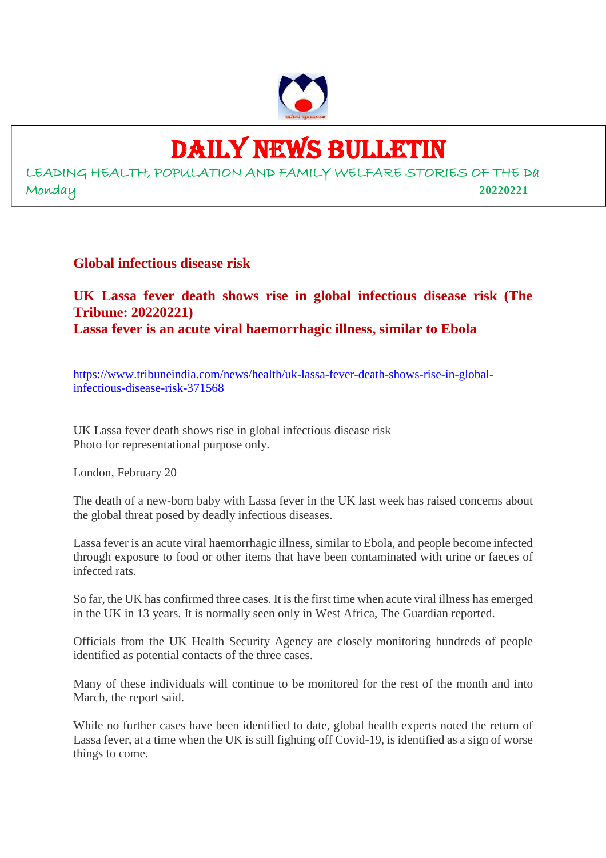

# DAILY NEWS BULLETIN

LEADING HEALTH, POPULATION AND FAMILY WELFARE STORIES OF THE Da Monday **20220221**

**Global infectious disease risk**

**UK Lassa fever death shows rise in global infectious disease risk (The Tribune: 20220221) Lassa fever is an acute viral haemorrhagic illness, similar to Ebola**

https://www.tribuneindia.com/news/health/uk-lassa-fever-death-shows-rise-in-globalinfectious-disease-risk-371568

UK Lassa fever death shows rise in global infectious disease risk Photo for representational purpose only.

London, February 20

The death of a new-born baby with Lassa fever in the UK last week has raised concerns about the global threat posed by deadly infectious diseases.

Lassa fever is an acute viral haemorrhagic illness, similar to Ebola, and people become infected through exposure to food or other items that have been contaminated with urine or faeces of infected rats.

So far, the UK has confirmed three cases. It is the first time when acute viral illness has emerged in the UK in 13 years. It is normally seen only in West Africa, The Guardian reported.

Officials from the UK Health Security Agency are closely monitoring hundreds of people identified as potential contacts of the three cases.

Many of these individuals will continue to be monitored for the rest of the month and into March, the report said.

While no further cases have been identified to date, global health experts noted the return of Lassa fever, at a time when the UK is still fighting off Covid-19, is identified as a sign of worse things to come.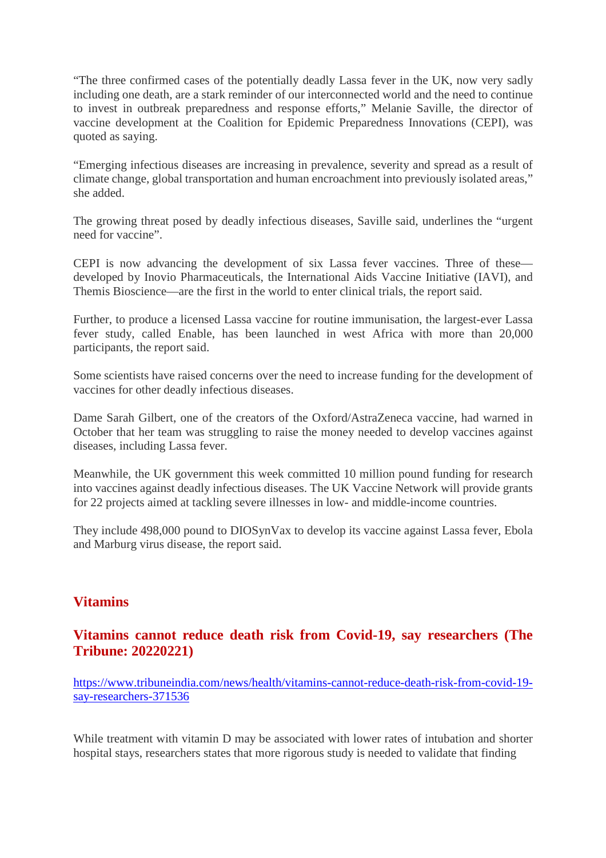"The three confirmed cases of the potentially deadly Lassa fever in the UK, now very sadly including one death, are a stark reminder of our interconnected world and the need to continue to invest in outbreak preparedness and response efforts," Melanie Saville, the director of vaccine development at the Coalition for Epidemic Preparedness Innovations (CEPI), was quoted as saying.

"Emerging infectious diseases are increasing in prevalence, severity and spread as a result of climate change, global transportation and human encroachment into previously isolated areas," she added.

The growing threat posed by deadly infectious diseases, Saville said, underlines the "urgent need for vaccine".

CEPI is now advancing the development of six Lassa fever vaccines. Three of these developed by Inovio Pharmaceuticals, the International Aids Vaccine Initiative (IAVI), and Themis Bioscience—are the first in the world to enter clinical trials, the report said.

Further, to produce a licensed Lassa vaccine for routine immunisation, the largest-ever Lassa fever study, called Enable, has been launched in west Africa with more than 20,000 participants, the report said.

Some scientists have raised concerns over the need to increase funding for the development of vaccines for other deadly infectious diseases.

Dame Sarah Gilbert, one of the creators of the Oxford/AstraZeneca vaccine, had warned in October that her team was struggling to raise the money needed to develop vaccines against diseases, including Lassa fever.

Meanwhile, the UK government this week committed 10 million pound funding for research into vaccines against deadly infectious diseases. The UK Vaccine Network will provide grants for 22 projects aimed at tackling severe illnesses in low- and middle-income countries.

They include 498,000 pound to DIOSynVax to develop its vaccine against Lassa fever, Ebola and Marburg virus disease, the report said.

## **Vitamins**

## **Vitamins cannot reduce death risk from Covid-19, say researchers (The Tribune: 20220221)**

https://www.tribuneindia.com/news/health/vitamins-cannot-reduce-death-risk-from-covid-19 say-researchers-371536

While treatment with vitamin D may be associated with lower rates of intubation and shorter hospital stays, researchers states that more rigorous study is needed to validate that finding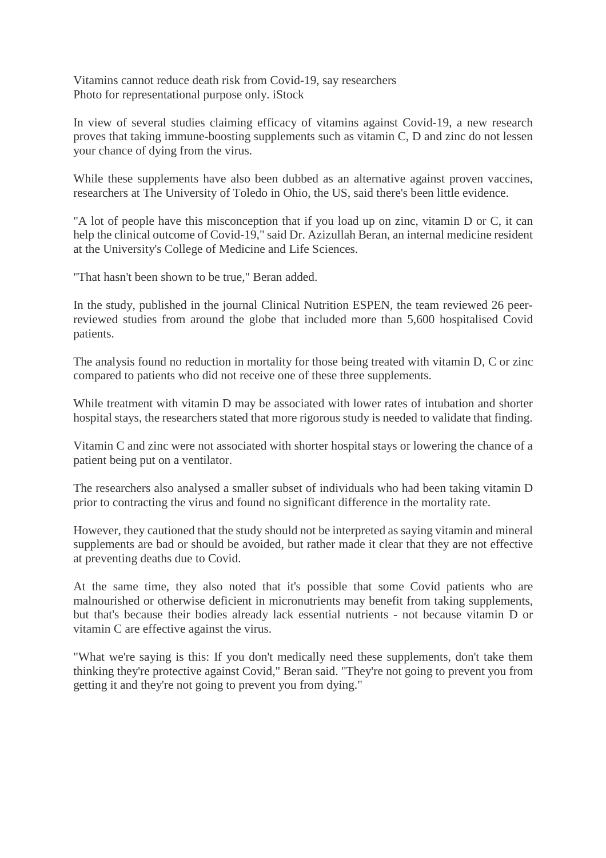Vitamins cannot reduce death risk from Covid-19, say researchers Photo for representational purpose only. iStock

In view of several studies claiming efficacy of vitamins against Covid-19, a new research proves that taking immune-boosting supplements such as vitamin C, D and zinc do not lessen your chance of dying from the virus.

While these supplements have also been dubbed as an alternative against proven vaccines, researchers at The University of Toledo in Ohio, the US, said there's been little evidence.

"A lot of people have this misconception that if you load up on zinc, vitamin D or C, it can help the clinical outcome of Covid-19," said Dr. Azizullah Beran, an internal medicine resident at the University's College of Medicine and Life Sciences.

"That hasn't been shown to be true," Beran added.

In the study, published in the journal Clinical Nutrition ESPEN, the team reviewed 26 peerreviewed studies from around the globe that included more than 5,600 hospitalised Covid patients.

The analysis found no reduction in mortality for those being treated with vitamin D, C or zinc compared to patients who did not receive one of these three supplements.

While treatment with vitamin D may be associated with lower rates of intubation and shorter hospital stays, the researchers stated that more rigorous study is needed to validate that finding.

Vitamin C and zinc were not associated with shorter hospital stays or lowering the chance of a patient being put on a ventilator.

The researchers also analysed a smaller subset of individuals who had been taking vitamin D prior to contracting the virus and found no significant difference in the mortality rate.

However, they cautioned that the study should not be interpreted as saying vitamin and mineral supplements are bad or should be avoided, but rather made it clear that they are not effective at preventing deaths due to Covid.

At the same time, they also noted that it's possible that some Covid patients who are malnourished or otherwise deficient in micronutrients may benefit from taking supplements, but that's because their bodies already lack essential nutrients - not because vitamin D or vitamin C are effective against the virus.

"What we're saying is this: If you don't medically need these supplements, don't take them thinking they're protective against Covid," Beran said. "They're not going to prevent you from getting it and they're not going to prevent you from dying."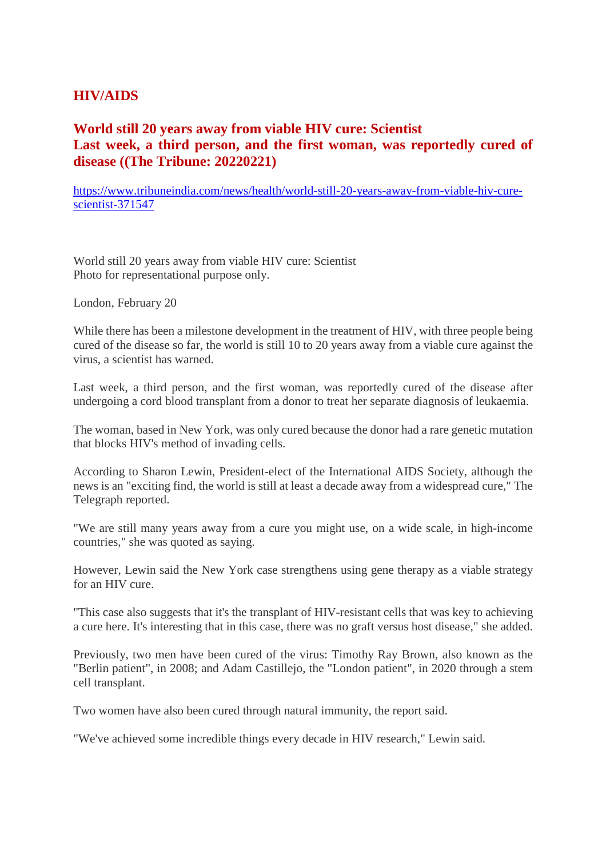## **HIV/AIDS**

## **World still 20 years away from viable HIV cure: Scientist Last week, a third person, and the first woman, was reportedly cured of disease ((The Tribune: 20220221)**

https://www.tribuneindia.com/news/health/world-still-20-years-away-from-viable-hiv-curescientist-371547

World still 20 years away from viable HIV cure: Scientist Photo for representational purpose only.

London, February 20

While there has been a milestone development in the treatment of HIV, with three people being cured of the disease so far, the world is still 10 to 20 years away from a viable cure against the virus, a scientist has warned.

Last week, a third person, and the first woman, was reportedly cured of the disease after undergoing a cord blood transplant from a donor to treat her separate diagnosis of leukaemia.

The woman, based in New York, was only cured because the donor had a rare genetic mutation that blocks HIV's method of invading cells.

According to Sharon Lewin, President-elect of the International AIDS Society, although the news is an "exciting find, the world is still at least a decade away from a widespread cure," The Telegraph reported.

"We are still many years away from a cure you might use, on a wide scale, in high-income countries," she was quoted as saying.

However, Lewin said the New York case strengthens using gene therapy as a viable strategy for an HIV cure.

"This case also suggests that it's the transplant of HIV-resistant cells that was key to achieving a cure here. It's interesting that in this case, there was no graft versus host disease," she added.

Previously, two men have been cured of the virus: Timothy Ray Brown, also known as the "Berlin patient", in 2008; and Adam Castillejo, the "London patient", in 2020 through a stem cell transplant.

Two women have also been cured through natural immunity, the report said.

"We've achieved some incredible things every decade in HIV research," Lewin said.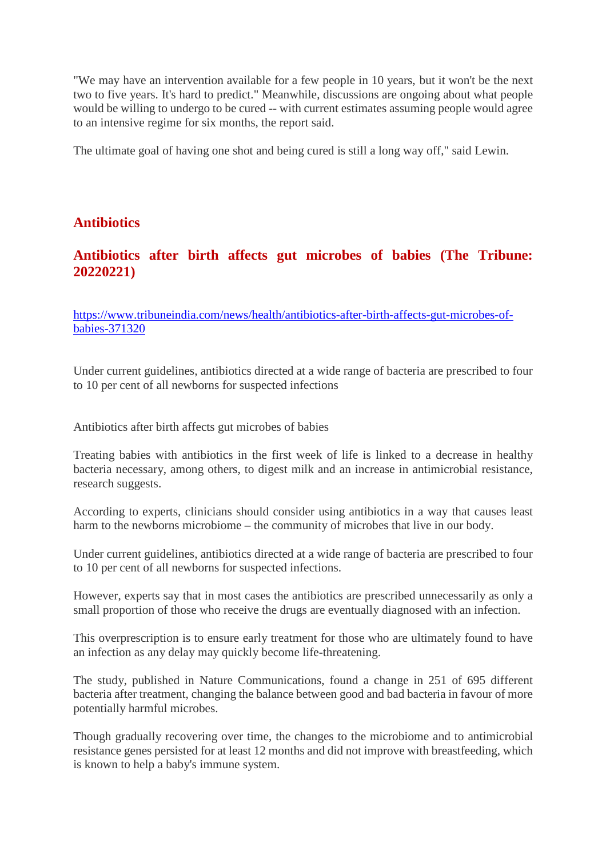"We may have an intervention available for a few people in 10 years, but it won't be the next two to five years. It's hard to predict." Meanwhile, discussions are ongoing about what people would be willing to undergo to be cured -- with current estimates assuming people would agree to an intensive regime for six months, the report said.

The ultimate goal of having one shot and being cured is still a long way off," said Lewin.

## **Antibiotics**

## **Antibiotics after birth affects gut microbes of babies (The Tribune: 20220221)**

https://www.tribuneindia.com/news/health/antibiotics-after-birth-affects-gut-microbes-ofbabies-371320

Under current guidelines, antibiotics directed at a wide range of bacteria are prescribed to four to 10 per cent of all newborns for suspected infections

Antibiotics after birth affects gut microbes of babies

Treating babies with antibiotics in the first week of life is linked to a decrease in healthy bacteria necessary, among others, to digest milk and an increase in antimicrobial resistance, research suggests.

According to experts, clinicians should consider using antibiotics in a way that causes least harm to the newborns microbiome – the community of microbes that live in our body.

Under current guidelines, antibiotics directed at a wide range of bacteria are prescribed to four to 10 per cent of all newborns for suspected infections.

However, experts say that in most cases the antibiotics are prescribed unnecessarily as only a small proportion of those who receive the drugs are eventually diagnosed with an infection.

This overprescription is to ensure early treatment for those who are ultimately found to have an infection as any delay may quickly become life-threatening.

The study, published in Nature Communications, found a change in 251 of 695 different bacteria after treatment, changing the balance between good and bad bacteria in favour of more potentially harmful microbes.

Though gradually recovering over time, the changes to the microbiome and to antimicrobial resistance genes persisted for at least 12 months and did not improve with breastfeeding, which is known to help a baby's immune system.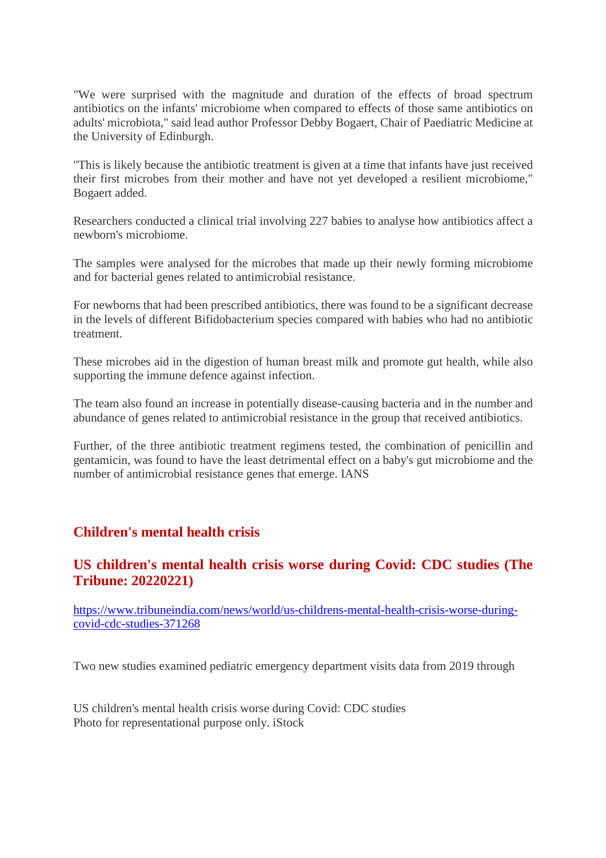"We were surprised with the magnitude and duration of the effects of broad spectrum antibiotics on the infants' microbiome when compared to effects of those same antibiotics on adults' microbiota," said lead author Professor Debby Bogaert, Chair of Paediatric Medicine at the University of Edinburgh.

"This is likely because the antibiotic treatment is given at a time that infants have just received their first microbes from their mother and have not yet developed a resilient microbiome," Bogaert added.

Researchers conducted a clinical trial involving 227 babies to analyse how antibiotics affect a newborn's microbiome.

The samples were analysed for the microbes that made up their newly forming microbiome and for bacterial genes related to antimicrobial resistance.

For newborns that had been prescribed antibiotics, there was found to be a significant decrease in the levels of different Bifidobacterium species compared with babies who had no antibiotic treatment.

These microbes aid in the digestion of human breast milk and promote gut health, while also supporting the immune defence against infection.

The team also found an increase in potentially disease-causing bacteria and in the number and abundance of genes related to antimicrobial resistance in the group that received antibiotics.

Further, of the three antibiotic treatment regimens tested, the combination of penicillin and gentamicin, was found to have the least detrimental effect on a baby's gut microbiome and the number of antimicrobial resistance genes that emerge. IANS

## **Children's mental health crisis**

## **US children's mental health crisis worse during Covid: CDC studies (The Tribune: 20220221)**

https://www.tribuneindia.com/news/world/us-childrens-mental-health-crisis-worse-duringcovid-cdc-studies-371268

Two new studies examined pediatric emergency department visits data from 2019 through

US children's mental health crisis worse during Covid: CDC studies Photo for representational purpose only. iStock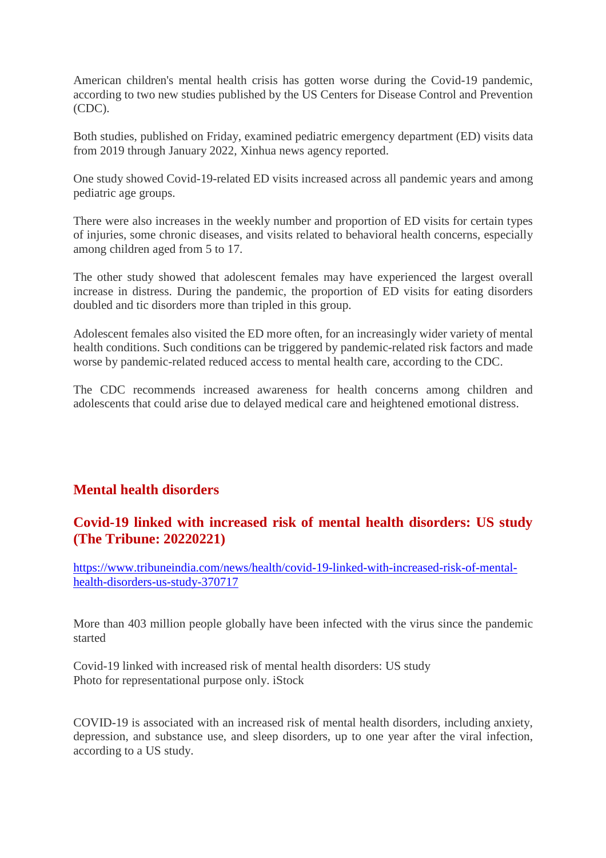American children's mental health crisis has gotten worse during the Covid-19 pandemic, according to two new studies published by the US Centers for Disease Control and Prevention (CDC).

Both studies, published on Friday, examined pediatric emergency department (ED) visits data from 2019 through January 2022, Xinhua news agency reported.

One study showed Covid-19-related ED visits increased across all pandemic years and among pediatric age groups.

There were also increases in the weekly number and proportion of ED visits for certain types of injuries, some chronic diseases, and visits related to behavioral health concerns, especially among children aged from 5 to 17.

The other study showed that adolescent females may have experienced the largest overall increase in distress. During the pandemic, the proportion of ED visits for eating disorders doubled and tic disorders more than tripled in this group.

Adolescent females also visited the ED more often, for an increasingly wider variety of mental health conditions. Such conditions can be triggered by pandemic-related risk factors and made worse by pandemic-related reduced access to mental health care, according to the CDC.

The CDC recommends increased awareness for health concerns among children and adolescents that could arise due to delayed medical care and heightened emotional distress.

## **Mental health disorders**

#### **Covid-19 linked with increased risk of mental health disorders: US study (The Tribune: 20220221)**

https://www.tribuneindia.com/news/health/covid-19-linked-with-increased-risk-of-mentalhealth-disorders-us-study-370717

More than 403 million people globally have been infected with the virus since the pandemic started

Covid-19 linked with increased risk of mental health disorders: US study Photo for representational purpose only. iStock

COVID-19 is associated with an increased risk of mental health disorders, including anxiety, depression, and substance use, and sleep disorders, up to one year after the viral infection, according to a US study.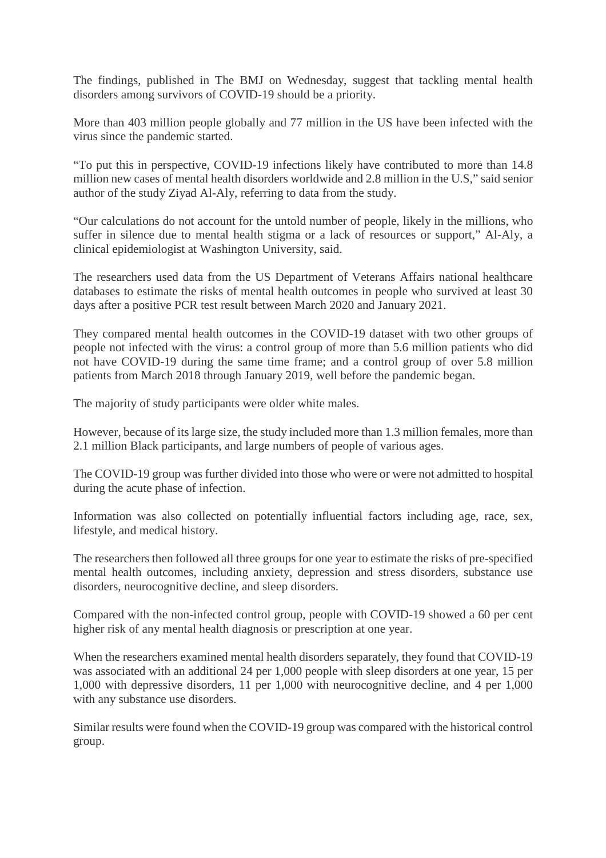The findings, published in The BMJ on Wednesday, suggest that tackling mental health disorders among survivors of COVID-19 should be a priority.

More than 403 million people globally and 77 million in the US have been infected with the virus since the pandemic started.

"To put this in perspective, COVID-19 infections likely have contributed to more than 14.8 million new cases of mental health disorders worldwide and 2.8 million in the U.S," said senior author of the study Ziyad Al-Aly, referring to data from the study.

"Our calculations do not account for the untold number of people, likely in the millions, who suffer in silence due to mental health stigma or a lack of resources or support," Al-Aly, a clinical epidemiologist at Washington University, said.

The researchers used data from the US Department of Veterans Affairs national healthcare databases to estimate the risks of mental health outcomes in people who survived at least 30 days after a positive PCR test result between March 2020 and January 2021.

They compared mental health outcomes in the COVID-19 dataset with two other groups of people not infected with the virus: a control group of more than 5.6 million patients who did not have COVID-19 during the same time frame; and a control group of over 5.8 million patients from March 2018 through January 2019, well before the pandemic began.

The majority of study participants were older white males.

However, because of its large size, the study included more than 1.3 million females, more than 2.1 million Black participants, and large numbers of people of various ages.

The COVID-19 group was further divided into those who were or were not admitted to hospital during the acute phase of infection.

Information was also collected on potentially influential factors including age, race, sex, lifestyle, and medical history.

The researchers then followed all three groups for one year to estimate the risks of pre-specified mental health outcomes, including anxiety, depression and stress disorders, substance use disorders, neurocognitive decline, and sleep disorders.

Compared with the non-infected control group, people with COVID-19 showed a 60 per cent higher risk of any mental health diagnosis or prescription at one year.

When the researchers examined mental health disorders separately, they found that COVID-19 was associated with an additional 24 per 1,000 people with sleep disorders at one year, 15 per 1,000 with depressive disorders, 11 per 1,000 with neurocognitive decline, and 4 per 1,000 with any substance use disorders.

Similar results were found when the COVID-19 group was compared with the historical control group.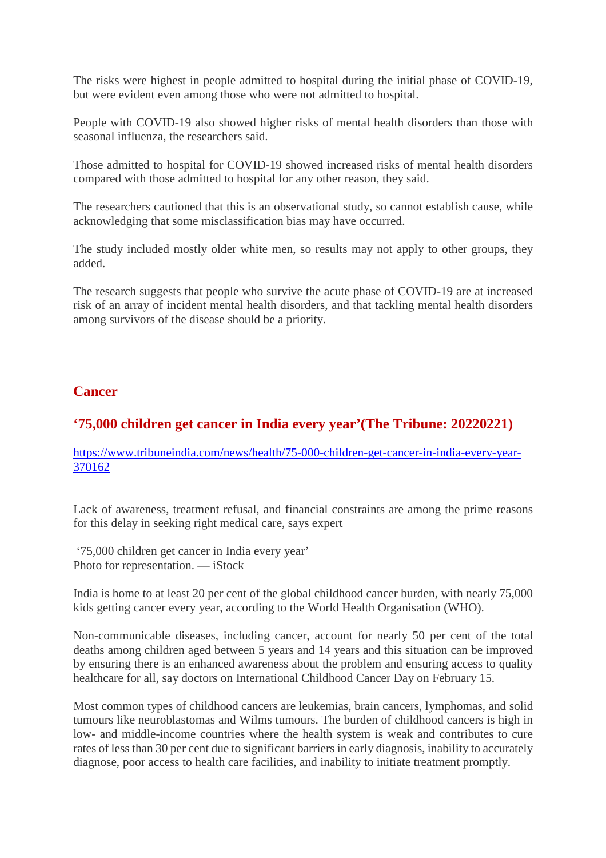The risks were highest in people admitted to hospital during the initial phase of COVID-19, but were evident even among those who were not admitted to hospital.

People with COVID-19 also showed higher risks of mental health disorders than those with seasonal influenza, the researchers said.

Those admitted to hospital for COVID-19 showed increased risks of mental health disorders compared with those admitted to hospital for any other reason, they said.

The researchers cautioned that this is an observational study, so cannot establish cause, while acknowledging that some misclassification bias may have occurred.

The study included mostly older white men, so results may not apply to other groups, they added.

The research suggests that people who survive the acute phase of COVID-19 are at increased risk of an array of incident mental health disorders, and that tackling mental health disorders among survivors of the disease should be a priority.

#### **Cancer**

# **'75,000 children get cancer in India every year'(The Tribune: 20220221)**

https://www.tribuneindia.com/news/health/75-000-children-get-cancer-in-india-every-year-370162

Lack of awareness, treatment refusal, and financial constraints are among the prime reasons for this delay in seeking right medical care, says expert

'75,000 children get cancer in India every year' Photo for representation. — iStock

India is home to at least 20 per cent of the global childhood cancer burden, with nearly 75,000 kids getting cancer every year, according to the World Health Organisation (WHO).

Non-communicable diseases, including cancer, account for nearly 50 per cent of the total deaths among children aged between 5 years and 14 years and this situation can be improved by ensuring there is an enhanced awareness about the problem and ensuring access to quality healthcare for all, say doctors on International Childhood Cancer Day on February 15.

Most common types of childhood cancers are leukemias, brain cancers, lymphomas, and solid tumours like neuroblastomas and Wilms tumours. The burden of childhood cancers is high in low- and middle-income countries where the health system is weak and contributes to cure rates of less than 30 per cent due to significant barriers in early diagnosis, inability to accurately diagnose, poor access to health care facilities, and inability to initiate treatment promptly.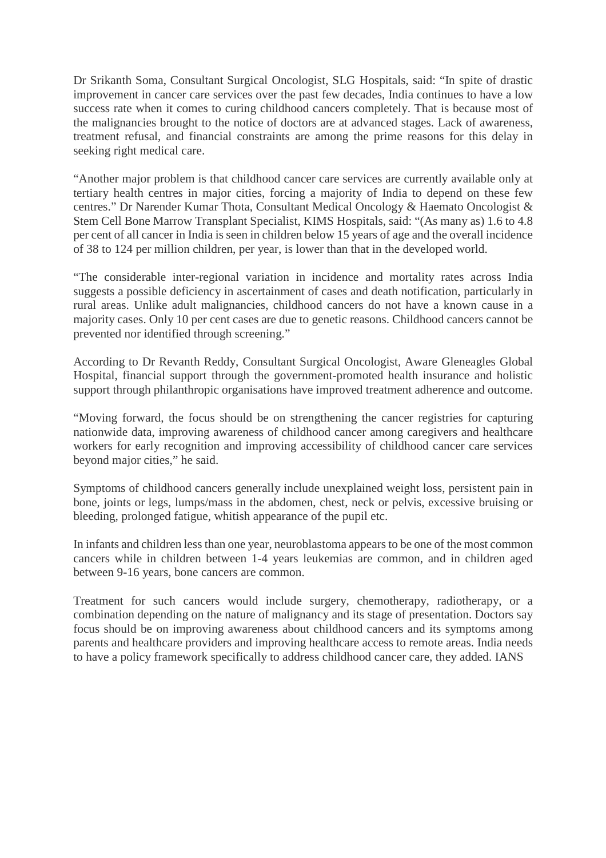Dr Srikanth Soma, Consultant Surgical Oncologist, SLG Hospitals, said: "In spite of drastic improvement in cancer care services over the past few decades, India continues to have a low success rate when it comes to curing childhood cancers completely. That is because most of the malignancies brought to the notice of doctors are at advanced stages. Lack of awareness, treatment refusal, and financial constraints are among the prime reasons for this delay in seeking right medical care.

"Another major problem is that childhood cancer care services are currently available only at tertiary health centres in major cities, forcing a majority of India to depend on these few centres." Dr Narender Kumar Thota, Consultant Medical Oncology & Haemato Oncologist & Stem Cell Bone Marrow Transplant Specialist, KIMS Hospitals, said: "(As many as) 1.6 to 4.8 per cent of all cancer in India is seen in children below 15 years of age and the overall incidence of 38 to 124 per million children, per year, is lower than that in the developed world.

"The considerable inter-regional variation in incidence and mortality rates across India suggests a possible deficiency in ascertainment of cases and death notification, particularly in rural areas. Unlike adult malignancies, childhood cancers do not have a known cause in a majority cases. Only 10 per cent cases are due to genetic reasons. Childhood cancers cannot be prevented nor identified through screening."

According to Dr Revanth Reddy, Consultant Surgical Oncologist, Aware Gleneagles Global Hospital, financial support through the government-promoted health insurance and holistic support through philanthropic organisations have improved treatment adherence and outcome.

"Moving forward, the focus should be on strengthening the cancer registries for capturing nationwide data, improving awareness of childhood cancer among caregivers and healthcare workers for early recognition and improving accessibility of childhood cancer care services beyond major cities," he said.

Symptoms of childhood cancers generally include unexplained weight loss, persistent pain in bone, joints or legs, lumps/mass in the abdomen, chest, neck or pelvis, excessive bruising or bleeding, prolonged fatigue, whitish appearance of the pupil etc.

In infants and children less than one year, neuroblastoma appears to be one of the most common cancers while in children between 1-4 years leukemias are common, and in children aged between 9-16 years, bone cancers are common.

Treatment for such cancers would include surgery, chemotherapy, radiotherapy, or a combination depending on the nature of malignancy and its stage of presentation. Doctors say focus should be on improving awareness about childhood cancers and its symptoms among parents and healthcare providers and improving healthcare access to remote areas. India needs to have a policy framework specifically to address childhood cancer care, they added. IANS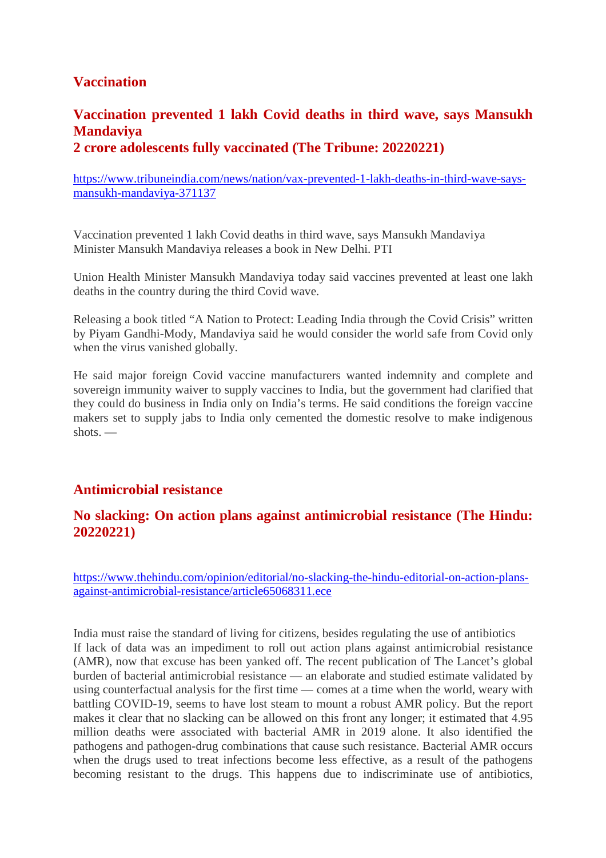# **Vaccination**

## **Vaccination prevented 1 lakh Covid deaths in third wave, says Mansukh Mandaviya 2 crore adolescents fully vaccinated (The Tribune: 20220221)**

https://www.tribuneindia.com/news/nation/vax-prevented-1-lakh-deaths-in-third-wave-saysmansukh-mandaviya-371137

Vaccination prevented 1 lakh Covid deaths in third wave, says Mansukh Mandaviya Minister Mansukh Mandaviya releases a book in New Delhi. PTI

Union Health Minister Mansukh Mandaviya today said vaccines prevented at least one lakh deaths in the country during the third Covid wave.

Releasing a book titled "A Nation to Protect: Leading India through the Covid Crisis" written by Piyam Gandhi-Mody, Mandaviya said he would consider the world safe from Covid only when the virus vanished globally.

He said major foreign Covid vaccine manufacturers wanted indemnity and complete and sovereign immunity waiver to supply vaccines to India, but the government had clarified that they could do business in India only on India's terms. He said conditions the foreign vaccine makers set to supply jabs to India only cemented the domestic resolve to make indigenous shots. —

#### **Antimicrobial resistance**

#### **No slacking: On action plans against antimicrobial resistance (The Hindu: 20220221)**

https://www.thehindu.com/opinion/editorial/no-slacking-the-hindu-editorial-on-action-plansagainst-antimicrobial-resistance/article65068311.ece

India must raise the standard of living for citizens, besides regulating the use of antibiotics If lack of data was an impediment to roll out action plans against antimicrobial resistance (AMR), now that excuse has been yanked off. The recent publication of The Lancet's global burden of bacterial antimicrobial resistance — an elaborate and studied estimate validated by using counterfactual analysis for the first time — comes at a time when the world, weary with battling COVID-19, seems to have lost steam to mount a robust AMR policy. But the report makes it clear that no slacking can be allowed on this front any longer; it estimated that 4.95 million deaths were associated with bacterial AMR in 2019 alone. It also identified the pathogens and pathogen-drug combinations that cause such resistance. Bacterial AMR occurs when the drugs used to treat infections become less effective, as a result of the pathogens becoming resistant to the drugs. This happens due to indiscriminate use of antibiotics,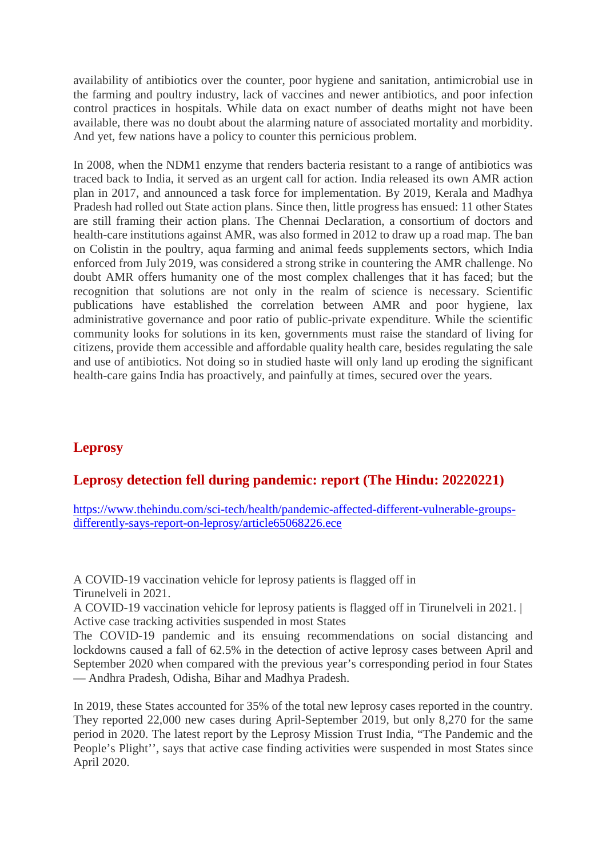availability of antibiotics over the counter, poor hygiene and sanitation, antimicrobial use in the farming and poultry industry, lack of vaccines and newer antibiotics, and poor infection control practices in hospitals. While data on exact number of deaths might not have been available, there was no doubt about the alarming nature of associated mortality and morbidity. And yet, few nations have a policy to counter this pernicious problem.

In 2008, when the NDM1 enzyme that renders bacteria resistant to a range of antibiotics was traced back to India, it served as an urgent call for action. India released its own AMR action plan in 2017, and announced a task force for implementation. By 2019, Kerala and Madhya Pradesh had rolled out State action plans. Since then, little progress has ensued: 11 other States are still framing their action plans. The Chennai Declaration, a consortium of doctors and health-care institutions against AMR, was also formed in 2012 to draw up a road map. The ban on Colistin in the poultry, aqua farming and animal feeds supplements sectors, which India enforced from July 2019, was considered a strong strike in countering the AMR challenge. No doubt AMR offers humanity one of the most complex challenges that it has faced; but the recognition that solutions are not only in the realm of science is necessary. Scientific publications have established the correlation between AMR and poor hygiene, lax administrative governance and poor ratio of public-private expenditure. While the scientific community looks for solutions in its ken, governments must raise the standard of living for citizens, provide them accessible and affordable quality health care, besides regulating the sale and use of antibiotics. Not doing so in studied haste will only land up eroding the significant health-care gains India has proactively, and painfully at times, secured over the years.

# **Leprosy**

## **Leprosy detection fell during pandemic: report (The Hindu: 20220221)**

https://www.thehindu.com/sci-tech/health/pandemic-affected-different-vulnerable-groupsdifferently-says-report-on-leprosy/article65068226.ece

A COVID-19 vaccination vehicle for leprosy patients is flagged off in Tirunelveli in 2021.

A COVID-19 vaccination vehicle for leprosy patients is flagged off in Tirunelveli in 2021. | Active case tracking activities suspended in most States

The COVID-19 pandemic and its ensuing recommendations on social distancing and lockdowns caused a fall of 62.5% in the detection of active leprosy cases between April and September 2020 when compared with the previous year's corresponding period in four States — Andhra Pradesh, Odisha, Bihar and Madhya Pradesh.

In 2019, these States accounted for 35% of the total new leprosy cases reported in the country. They reported 22,000 new cases during April-September 2019, but only 8,270 for the same period in 2020. The latest report by the Leprosy Mission Trust India, "The Pandemic and the People's Plight'', says that active case finding activities were suspended in most States since April 2020.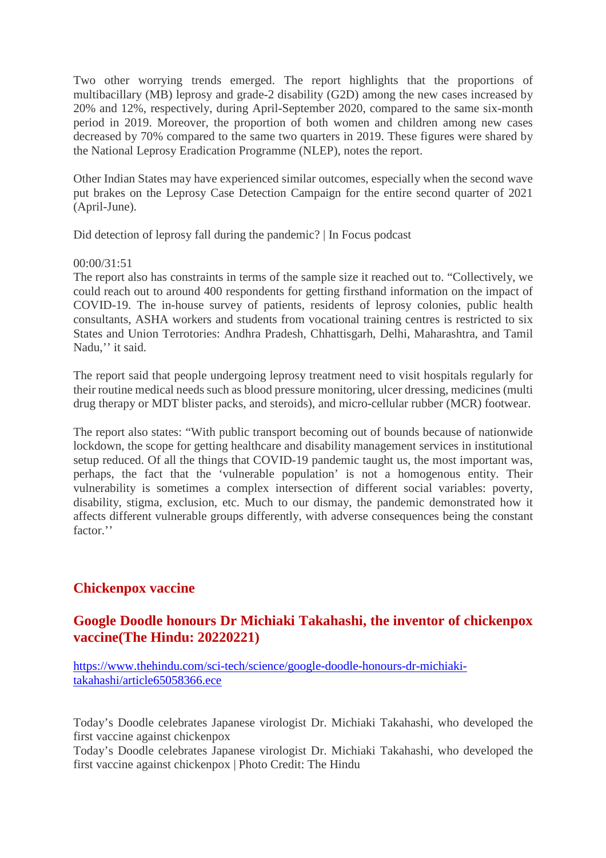Two other worrying trends emerged. The report highlights that the proportions of multibacillary (MB) leprosy and grade-2 disability (G2D) among the new cases increased by 20% and 12%, respectively, during April-September 2020, compared to the same six-month period in 2019. Moreover, the proportion of both women and children among new cases decreased by 70% compared to the same two quarters in 2019. These figures were shared by the National Leprosy Eradication Programme (NLEP), notes the report.

Other Indian States may have experienced similar outcomes, especially when the second wave put brakes on the Leprosy Case Detection Campaign for the entire second quarter of 2021 (April-June).

Did detection of leprosy fall during the pandemic? | In Focus podcast

#### 00:00/31:51

The report also has constraints in terms of the sample size it reached out to. "Collectively, we could reach out to around 400 respondents for getting firsthand information on the impact of COVID-19. The in-house survey of patients, residents of leprosy colonies, public health consultants, ASHA workers and students from vocational training centres is restricted to six States and Union Terrotories: Andhra Pradesh, Chhattisgarh, Delhi, Maharashtra, and Tamil Nadu," it said.

The report said that people undergoing leprosy treatment need to visit hospitals regularly for their routine medical needs such as blood pressure monitoring, ulcer dressing, medicines (multi drug therapy or MDT blister packs, and steroids), and micro-cellular rubber (MCR) footwear.

The report also states: "With public transport becoming out of bounds because of nationwide lockdown, the scope for getting healthcare and disability management services in institutional setup reduced. Of all the things that COVID-19 pandemic taught us, the most important was, perhaps, the fact that the 'vulnerable population' is not a homogenous entity. Their vulnerability is sometimes a complex intersection of different social variables: poverty, disability, stigma, exclusion, etc. Much to our dismay, the pandemic demonstrated how it affects different vulnerable groups differently, with adverse consequences being the constant factor<sup>"</sup>

## **Chickenpox vaccine**

## **Google Doodle honours Dr Michiaki Takahashi, the inventor of chickenpox vaccine(The Hindu: 20220221)**

https://www.thehindu.com/sci-tech/science/google-doodle-honours-dr-michiakitakahashi/article65058366.ece

Today's Doodle celebrates Japanese virologist Dr. Michiaki Takahashi, who developed the first vaccine against chickenpox

Today's Doodle celebrates Japanese virologist Dr. Michiaki Takahashi, who developed the first vaccine against chickenpox | Photo Credit: The Hindu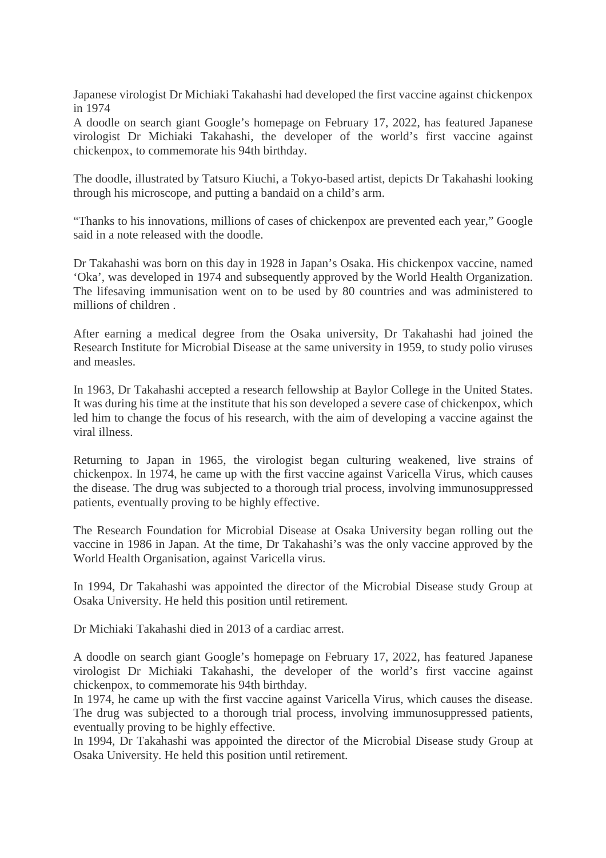Japanese virologist Dr Michiaki Takahashi had developed the first vaccine against chickenpox in 1974

A doodle on search giant Google's homepage on February 17, 2022, has featured Japanese virologist Dr Michiaki Takahashi, the developer of the world's first vaccine against chickenpox, to commemorate his 94th birthday.

The doodle, illustrated by Tatsuro Kiuchi, a Tokyo-based artist, depicts Dr Takahashi looking through his microscope, and putting a bandaid on a child's arm.

"Thanks to his innovations, millions of cases of chickenpox are prevented each year," Google said in a note released with the doodle.

Dr Takahashi was born on this day in 1928 in Japan's Osaka. His chickenpox vaccine, named 'Oka', was developed in 1974 and subsequently approved by the World Health Organization. The lifesaving immunisation went on to be used by 80 countries and was administered to millions of children .

After earning a medical degree from the Osaka university, Dr Takahashi had joined the Research Institute for Microbial Disease at the same university in 1959, to study polio viruses and measles.

In 1963, Dr Takahashi accepted a research fellowship at Baylor College in the United States. It was during his time at the institute that his son developed a severe case of chickenpox, which led him to change the focus of his research, with the aim of developing a vaccine against the viral illness.

Returning to Japan in 1965, the virologist began culturing weakened, live strains of chickenpox. In 1974, he came up with the first vaccine against Varicella Virus, which causes the disease. The drug was subjected to a thorough trial process, involving immunosuppressed patients, eventually proving to be highly effective.

The Research Foundation for Microbial Disease at Osaka University began rolling out the vaccine in 1986 in Japan. At the time, Dr Takahashi's was the only vaccine approved by the World Health Organisation, against Varicella virus.

In 1994, Dr Takahashi was appointed the director of the Microbial Disease study Group at Osaka University. He held this position until retirement.

Dr Michiaki Takahashi died in 2013 of a cardiac arrest.

A doodle on search giant Google's homepage on February 17, 2022, has featured Japanese virologist Dr Michiaki Takahashi, the developer of the world's first vaccine against chickenpox, to commemorate his 94th birthday.

In 1974, he came up with the first vaccine against Varicella Virus, which causes the disease. The drug was subjected to a thorough trial process, involving immunosuppressed patients, eventually proving to be highly effective.

In 1994, Dr Takahashi was appointed the director of the Microbial Disease study Group at Osaka University. He held this position until retirement.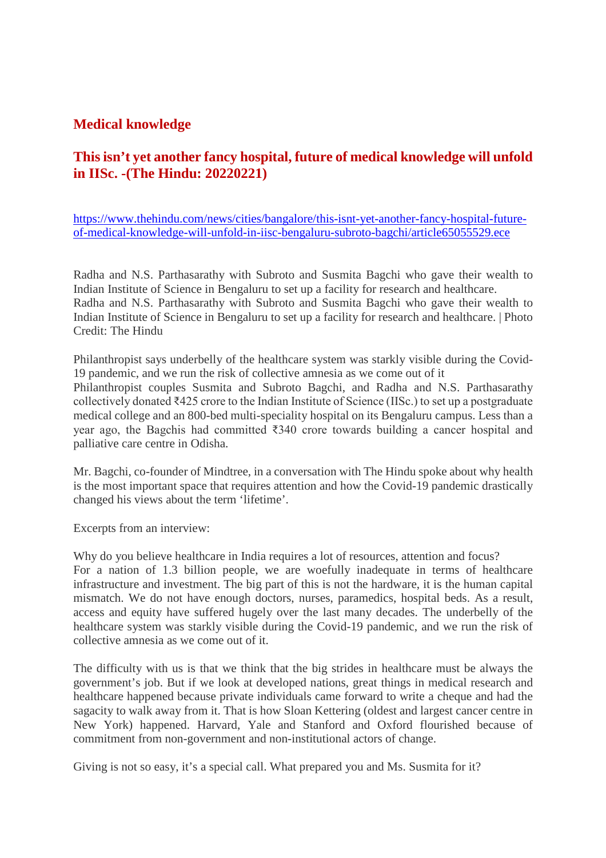#### **Medical knowledge**

# **This isn't yet another fancy hospital, future of medical knowledge will unfold in IISc. -(The Hindu: 20220221)**

https://www.thehindu.com/news/cities/bangalore/this-isnt-yet-another-fancy-hospital-futureof-medical-knowledge-will-unfold-in-iisc-bengaluru-subroto-bagchi/article65055529.ece

Radha and N.S. Parthasarathy with Subroto and Susmita Bagchi who gave their wealth to Indian Institute of Science in Bengaluru to set up a facility for research and healthcare. Radha and N.S. Parthasarathy with Subroto and Susmita Bagchi who gave their wealth to Indian Institute of Science in Bengaluru to set up a facility for research and healthcare. | Photo Credit: The Hindu

Philanthropist says underbelly of the healthcare system was starkly visible during the Covid-19 pandemic, and we run the risk of collective amnesia as we come out of it Philanthropist couples Susmita and Subroto Bagchi, and Radha and N.S. Parthasarathy collectively donated ₹425 crore to the Indian Institute of Science (IISc.) to set up a postgraduate medical college and an 800-bed multi-speciality hospital on its Bengaluru campus. Less than a year ago, the Bagchis had committed ₹340 crore towards building a cancer hospital and palliative care centre in Odisha.

Mr. Bagchi, co-founder of Mindtree, in a conversation with The Hindu spoke about why health is the most important space that requires attention and how the Covid-19 pandemic drastically changed his views about the term 'lifetime'.

Excerpts from an interview:

Why do you believe healthcare in India requires a lot of resources, attention and focus? For a nation of 1.3 billion people, we are woefully inadequate in terms of healthcare infrastructure and investment. The big part of this is not the hardware, it is the human capital mismatch. We do not have enough doctors, nurses, paramedics, hospital beds. As a result, access and equity have suffered hugely over the last many decades. The underbelly of the healthcare system was starkly visible during the Covid-19 pandemic, and we run the risk of collective amnesia as we come out of it.

The difficulty with us is that we think that the big strides in healthcare must be always the government's job. But if we look at developed nations, great things in medical research and healthcare happened because private individuals came forward to write a cheque and had the sagacity to walk away from it. That is how Sloan Kettering (oldest and largest cancer centre in New York) happened. Harvard, Yale and Stanford and Oxford flourished because of commitment from non-government and non-institutional actors of change.

Giving is not so easy, it's a special call. What prepared you and Ms. Susmita for it?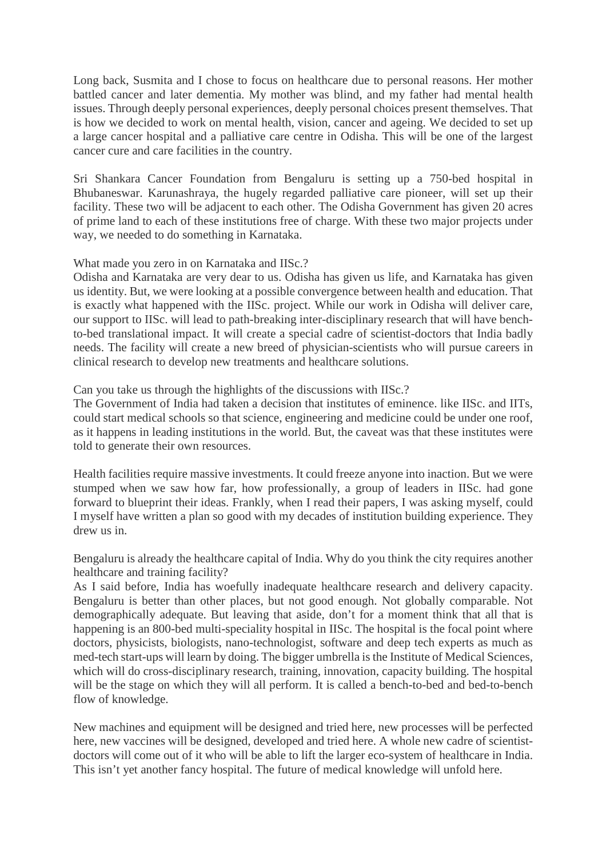Long back, Susmita and I chose to focus on healthcare due to personal reasons. Her mother battled cancer and later dementia. My mother was blind, and my father had mental health issues. Through deeply personal experiences, deeply personal choices present themselves. That is how we decided to work on mental health, vision, cancer and ageing. We decided to set up a large cancer hospital and a palliative care centre in Odisha. This will be one of the largest cancer cure and care facilities in the country.

Sri Shankara Cancer Foundation from Bengaluru is setting up a 750-bed hospital in Bhubaneswar. Karunashraya, the hugely regarded palliative care pioneer, will set up their facility. These two will be adjacent to each other. The Odisha Government has given 20 acres of prime land to each of these institutions free of charge. With these two major projects under way, we needed to do something in Karnataka.

What made you zero in on Karnataka and IISc.?

Odisha and Karnataka are very dear to us. Odisha has given us life, and Karnataka has given us identity. But, we were looking at a possible convergence between health and education. That is exactly what happened with the IISc. project. While our work in Odisha will deliver care, our support to IISc. will lead to path-breaking inter-disciplinary research that will have benchto-bed translational impact. It will create a special cadre of scientist-doctors that India badly needs. The facility will create a new breed of physician-scientists who will pursue careers in clinical research to develop new treatments and healthcare solutions.

Can you take us through the highlights of the discussions with IISc.?

The Government of India had taken a decision that institutes of eminence. like IISc. and IITs, could start medical schools so that science, engineering and medicine could be under one roof, as it happens in leading institutions in the world. But, the caveat was that these institutes were told to generate their own resources.

Health facilities require massive investments. It could freeze anyone into inaction. But we were stumped when we saw how far, how professionally, a group of leaders in IISc. had gone forward to blueprint their ideas. Frankly, when I read their papers, I was asking myself, could I myself have written a plan so good with my decades of institution building experience. They drew us in.

Bengaluru is already the healthcare capital of India. Why do you think the city requires another healthcare and training facility?

As I said before, India has woefully inadequate healthcare research and delivery capacity. Bengaluru is better than other places, but not good enough. Not globally comparable. Not demographically adequate. But leaving that aside, don't for a moment think that all that is happening is an 800-bed multi-speciality hospital in IISc. The hospital is the focal point where doctors, physicists, biologists, nano-technologist, software and deep tech experts as much as med-tech start-ups will learn by doing. The bigger umbrella is the Institute of Medical Sciences, which will do cross-disciplinary research, training, innovation, capacity building. The hospital will be the stage on which they will all perform. It is called a bench-to-bed and bed-to-bench flow of knowledge.

New machines and equipment will be designed and tried here, new processes will be perfected here, new vaccines will be designed, developed and tried here. A whole new cadre of scientistdoctors will come out of it who will be able to lift the larger eco-system of healthcare in India. This isn't yet another fancy hospital. The future of medical knowledge will unfold here.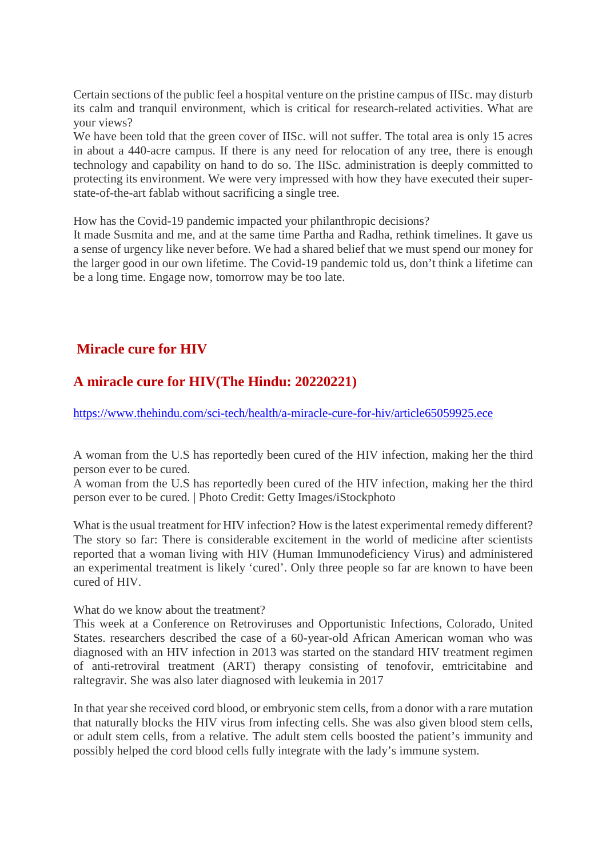Certain sections of the public feel a hospital venture on the pristine campus of IISc. may disturb its calm and tranquil environment, which is critical for research-related activities. What are your views?

We have been told that the green cover of IISc. will not suffer. The total area is only 15 acres in about a 440-acre campus. If there is any need for relocation of any tree, there is enough technology and capability on hand to do so. The IISc. administration is deeply committed to protecting its environment. We were very impressed with how they have executed their superstate-of-the-art fablab without sacrificing a single tree.

How has the Covid-19 pandemic impacted your philanthropic decisions?

It made Susmita and me, and at the same time Partha and Radha, rethink timelines. It gave us a sense of urgency like never before. We had a shared belief that we must spend our money for the larger good in our own lifetime. The Covid-19 pandemic told us, don't think a lifetime can be a long time. Engage now, tomorrow may be too late.

# **Miracle cure for HIV**

# **A miracle cure for HIV(The Hindu: 20220221)**

https://www.thehindu.com/sci-tech/health/a-miracle-cure-for-hiv/article65059925.ece

A woman from the U.S has reportedly been cured of the HIV infection, making her the third person ever to be cured.

A woman from the U.S has reportedly been cured of the HIV infection, making her the third person ever to be cured. | Photo Credit: Getty Images/iStockphoto

What is the usual treatment for HIV infection? How is the latest experimental remedy different? The story so far: There is considerable excitement in the world of medicine after scientists reported that a woman living with HIV (Human Immunodeficiency Virus) and administered an experimental treatment is likely 'cured'. Only three people so far are known to have been cured of HIV.

#### What do we know about the treatment?

This week at a Conference on Retroviruses and Opportunistic Infections, Colorado, United States. researchers described the case of a 60-year-old African American woman who was diagnosed with an HIV infection in 2013 was started on the standard HIV treatment regimen of anti-retroviral treatment (ART) therapy consisting of tenofovir, emtricitabine and raltegravir. She was also later diagnosed with leukemia in 2017

In that year she received cord blood, or embryonic stem cells, from a donor with a rare mutation that naturally blocks the HIV virus from infecting cells. She was also given blood stem cells, or adult stem cells, from a relative. The adult stem cells boosted the patient's immunity and possibly helped the cord blood cells fully integrate with the lady's immune system.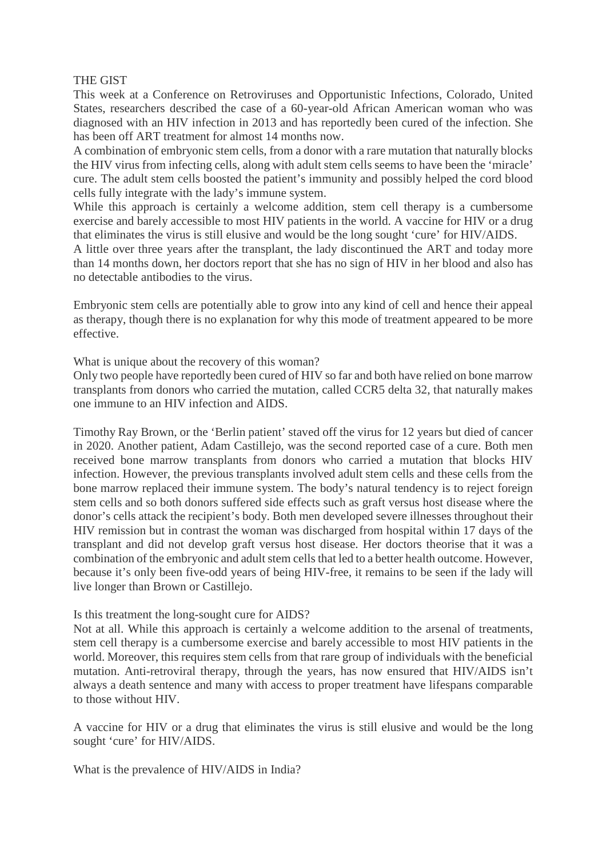#### THE GIST

This week at a Conference on Retroviruses and Opportunistic Infections, Colorado, United States, researchers described the case of a 60-year-old African American woman who was diagnosed with an HIV infection in 2013 and has reportedly been cured of the infection. She has been off ART treatment for almost 14 months now.

A combination of embryonic stem cells, from a donor with a rare mutation that naturally blocks the HIV virus from infecting cells, along with adult stem cells seems to have been the 'miracle' cure. The adult stem cells boosted the patient's immunity and possibly helped the cord blood cells fully integrate with the lady's immune system.

While this approach is certainly a welcome addition, stem cell therapy is a cumbersome exercise and barely accessible to most HIV patients in the world. A vaccine for HIV or a drug that eliminates the virus is still elusive and would be the long sought 'cure' for HIV/AIDS.

A little over three years after the transplant, the lady discontinued the ART and today more than 14 months down, her doctors report that she has no sign of HIV in her blood and also has no detectable antibodies to the virus.

Embryonic stem cells are potentially able to grow into any kind of cell and hence their appeal as therapy, though there is no explanation for why this mode of treatment appeared to be more effective.

What is unique about the recovery of this woman?

Only two people have reportedly been cured of HIV so far and both have relied on bone marrow transplants from donors who carried the mutation, called CCR5 delta 32, that naturally makes one immune to an HIV infection and AIDS.

Timothy Ray Brown, or the 'Berlin patient' staved off the virus for 12 years but died of cancer in 2020. Another patient, Adam Castillejo, was the second reported case of a cure. Both men received bone marrow transplants from donors who carried a mutation that blocks HIV infection. However, the previous transplants involved adult stem cells and these cells from the bone marrow replaced their immune system. The body's natural tendency is to reject foreign stem cells and so both donors suffered side effects such as graft versus host disease where the donor's cells attack the recipient's body. Both men developed severe illnesses throughout their HIV remission but in contrast the woman was discharged from hospital within 17 days of the transplant and did not develop graft versus host disease. Her doctors theorise that it was a combination of the embryonic and adult stem cells that led to a better health outcome. However, because it's only been five-odd years of being HIV-free, it remains to be seen if the lady will live longer than Brown or Castillejo.

#### Is this treatment the long-sought cure for AIDS?

Not at all. While this approach is certainly a welcome addition to the arsenal of treatments, stem cell therapy is a cumbersome exercise and barely accessible to most HIV patients in the world. Moreover, this requires stem cells from that rare group of individuals with the beneficial mutation. Anti-retroviral therapy, through the years, has now ensured that HIV/AIDS isn't always a death sentence and many with access to proper treatment have lifespans comparable to those without HIV.

A vaccine for HIV or a drug that eliminates the virus is still elusive and would be the long sought 'cure' for HIV/AIDS.

What is the prevalence of HIV/AIDS in India?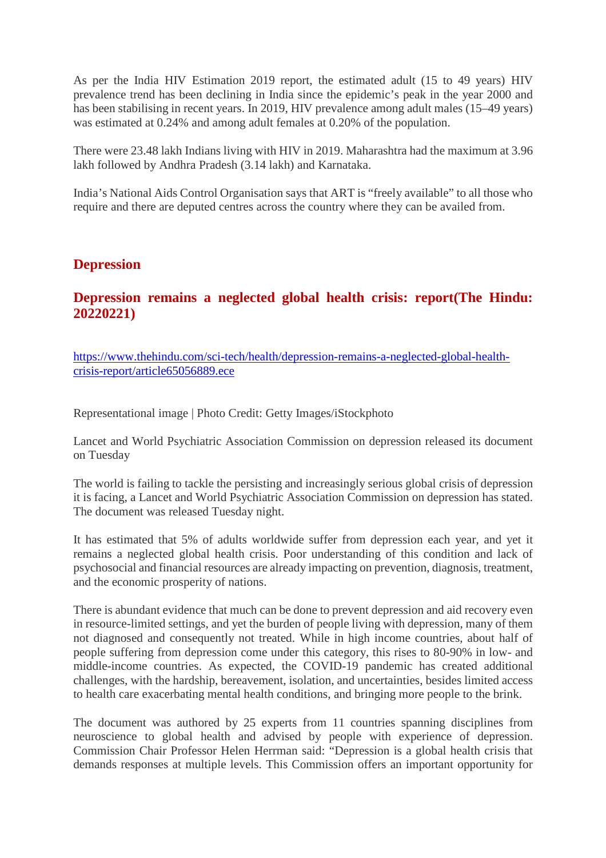As per the India HIV Estimation 2019 report, the estimated adult (15 to 49 years) HIV prevalence trend has been declining in India since the epidemic's peak in the year 2000 and has been stabilising in recent years. In 2019, HIV prevalence among adult males (15–49 years) was estimated at 0.24% and among adult females at 0.20% of the population.

There were 23.48 lakh Indians living with HIV in 2019. Maharashtra had the maximum at 3.96 lakh followed by Andhra Pradesh (3.14 lakh) and Karnataka.

India's National Aids Control Organisation says that ART is "freely available" to all those who require and there are deputed centres across the country where they can be availed from.

#### **Depression**

## **Depression remains a neglected global health crisis: report(The Hindu: 20220221)**

https://www.thehindu.com/sci-tech/health/depression-remains-a-neglected-global-healthcrisis-report/article65056889.ece

Representational image | Photo Credit: Getty Images/iStockphoto

Lancet and World Psychiatric Association Commission on depression released its document on Tuesday

The world is failing to tackle the persisting and increasingly serious global crisis of depression it is facing, a Lancet and World Psychiatric Association Commission on depression has stated. The document was released Tuesday night.

It has estimated that 5% of adults worldwide suffer from depression each year, and yet it remains a neglected global health crisis. Poor understanding of this condition and lack of psychosocial and financial resources are already impacting on prevention, diagnosis, treatment, and the economic prosperity of nations.

There is abundant evidence that much can be done to prevent depression and aid recovery even in resource-limited settings, and yet the burden of people living with depression, many of them not diagnosed and consequently not treated. While in high income countries, about half of people suffering from depression come under this category, this rises to 80-90% in low- and middle-income countries. As expected, the COVID-19 pandemic has created additional challenges, with the hardship, bereavement, isolation, and uncertainties, besides limited access to health care exacerbating mental health conditions, and bringing more people to the brink.

The document was authored by 25 experts from 11 countries spanning disciplines from neuroscience to global health and advised by people with experience of depression. Commission Chair Professor Helen Herrman said: "Depression is a global health crisis that demands responses at multiple levels. This Commission offers an important opportunity for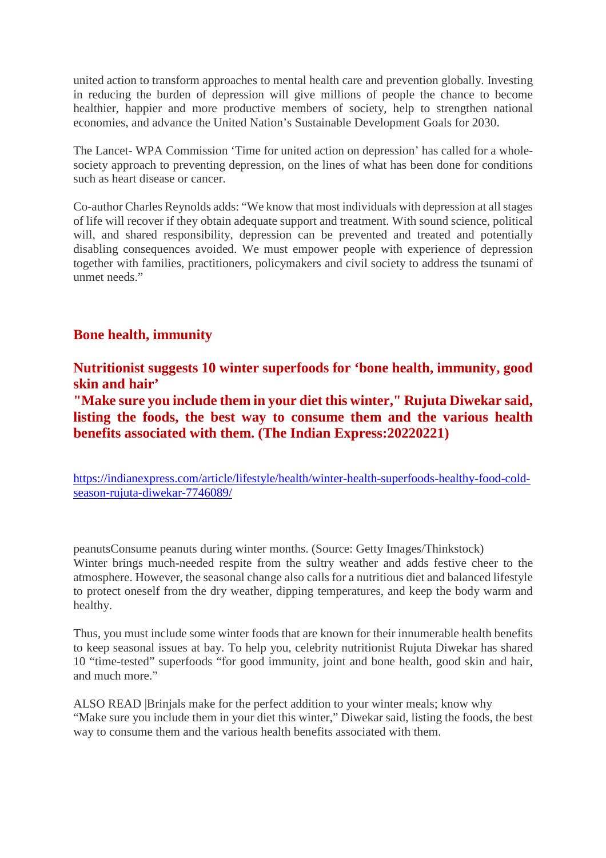united action to transform approaches to mental health care and prevention globally. Investing in reducing the burden of depression will give millions of people the chance to become healthier, happier and more productive members of society, help to strengthen national economies, and advance the United Nation's Sustainable Development Goals for 2030.

The Lancet- WPA Commission 'Time for united action on depression' has called for a wholesociety approach to preventing depression, on the lines of what has been done for conditions such as heart disease or cancer.

Co-author Charles Reynolds adds: "We know that most individuals with depression at all stages of life will recover if they obtain adequate support and treatment. With sound science, political will, and shared responsibility, depression can be prevented and treated and potentially disabling consequences avoided. We must empower people with experience of depression together with families, practitioners, policymakers and civil society to address the tsunami of unmet needs."

#### **Bone health, immunity**

**Nutritionist suggests 10 winter superfoods for 'bone health, immunity, good skin and hair'**

**"Make sure you include them in your diet this winter," Rujuta Diwekar said, listing the foods, the best way to consume them and the various health benefits associated with them. (The Indian Express:20220221)**

https://indianexpress.com/article/lifestyle/health/winter-health-superfoods-healthy-food-coldseason-rujuta-diwekar-7746089/

peanutsConsume peanuts during winter months. (Source: Getty Images/Thinkstock) Winter brings much-needed respite from the sultry weather and adds festive cheer to the atmosphere. However, the seasonal change also calls for a nutritious diet and balanced lifestyle to protect oneself from the dry weather, dipping temperatures, and keep the body warm and healthy.

Thus, you must include some winter foods that are known for their innumerable health benefits to keep seasonal issues at bay. To help you, celebrity nutritionist Rujuta Diwekar has shared 10 "time-tested" superfoods "for good immunity, joint and bone health, good skin and hair, and much more."

ALSO READ |Brinjals make for the perfect addition to your winter meals; know why "Make sure you include them in your diet this winter," Diwekar said, listing the foods, the best way to consume them and the various health benefits associated with them.